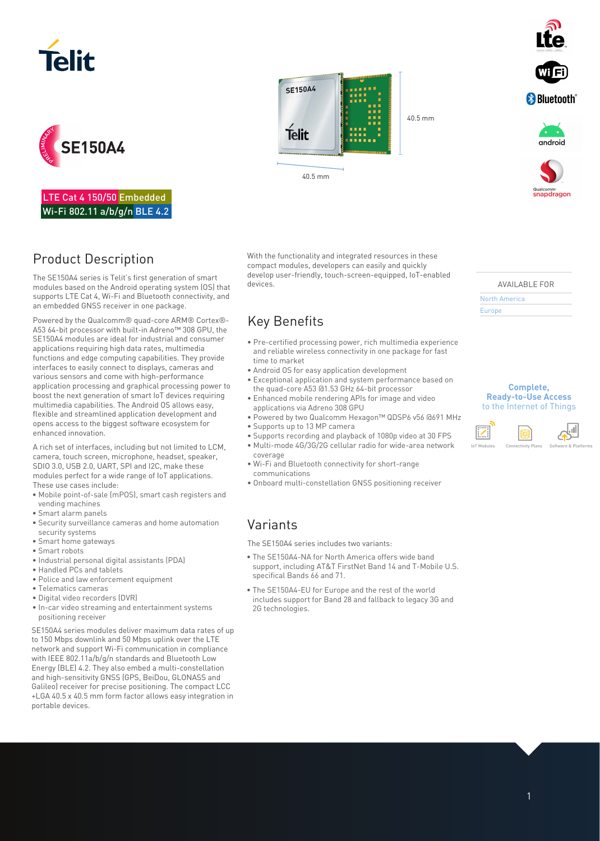





LTE Cat 4 150/50 Embedded Wi-Fi 802.11 a/b/g/n BLE 4.2

# Product Description

The SE150A4 series is Telit's first generation of smart modules based on the Android operating system (OS) that supports LTE Cat 4, Wi-Fi and Bluetooth connectivity, and an embedded GNSS receiver in one package.

Powered by the Qualcomm® quad-core ARM® Cortex®- A53 64-bit processor with built-in Adreno™ 308 GPU, the SE150A4 modules are ideal for industrial and consumer applications requiring high data rates, multimedia functions and edge computing capabilities. They provide interfaces to easily connect to displays, cameras and various sensors and come with high-performance application processing and graphical processing power to boost the next generation of smart IoT devices requiring multimedia capabilities. The Android OS allows easy, flexible and streamlined application development and opens access to the biggest software ecosystem for enhanced innovation.

A rich set of interfaces, including but not limited to LCM, camera, touch screen, microphone, headset, speaker, SDIO 3.0, USB 2.0, UART, SPI and I2C, make these modules perfect for a wide range of IoT applications. These use cases include:

- Mobile point-of-sale (mPOS), smart cash registers and vending machines
- Smart alarm panels
- Security surveillance cameras and home automation security systems
- Smart home gateways
- Smart robots
- Industrial personal digital assistants (PDA)
- Handled PCs and tablets
- Police and law enforcement equipment
- Telematics cameras
- Digital video recorders (DVR)
- In-car video streaming and entertainment systems positioning receiver

SE150A4 series modules deliver maximum data rates of up to 150 Mbps downlink and 50 Mbps uplink over the LTE network and support Wi-Fi communication in compliance with IEEE 802.11a/b/g/n standards and Bluetooth Low Energy (BLE) 4.2. They also embed a multi-constellation and high-sensitivity GNSS (GPS, BeiDou, GLONASS and Galileo) receiver for precise positioning. The compact LCC +LGA 40.5 x 40.5 mm form factor allows easy integration in portable devices.

With the functionality and integrated resources in these compact modules, developers can easily and quickly develop user-friendly, touch-screen-equipped, IoT-enabled devices.

40.5 mm

# Key Benefits

- Pre-certified processing power, rich multimedia experience and reliable wireless connectivity in one package for fast time to market
- Android OS for easy application development

40.5 mm

**SE150A4** 

**Telit** 

- Exceptional application and system performance based on the quad-core A53 @1.53 GHz 64-bit processor
- Enhanced mobile rendering APIs for image and video applications via Adreno 308 GPU
- Powered by two Qualcomm Hexagon™ QDSP6 v56 @691 MHz • Supports up to 13 MP camera
- 
- Supports recording and playback of 1080p video at 30 FPS • Multi-mode 4G/3G/2G cellular radio for wide-area network coverage
- Wi-Fi and Bluetooth connectivity for short-range communications
- Onboard multi-constellation GNSS positioning receiver

### Variants

The SE150A4 series includes two variants:

- The SE150A4-NA for North America offers wide band support, including AT&T FirstNet Band 14 and T-Mobile U.S. specifical Bands 66 and 71.
- The SE150A4-EU for Europe and the rest of the world includes support for Band 28 and fallback to legacy 3G and 2G technologies.



AVAILABLE FOR

North America

Europe

#### **Complete, Ready-to-Use Access**  to the Internet of Things